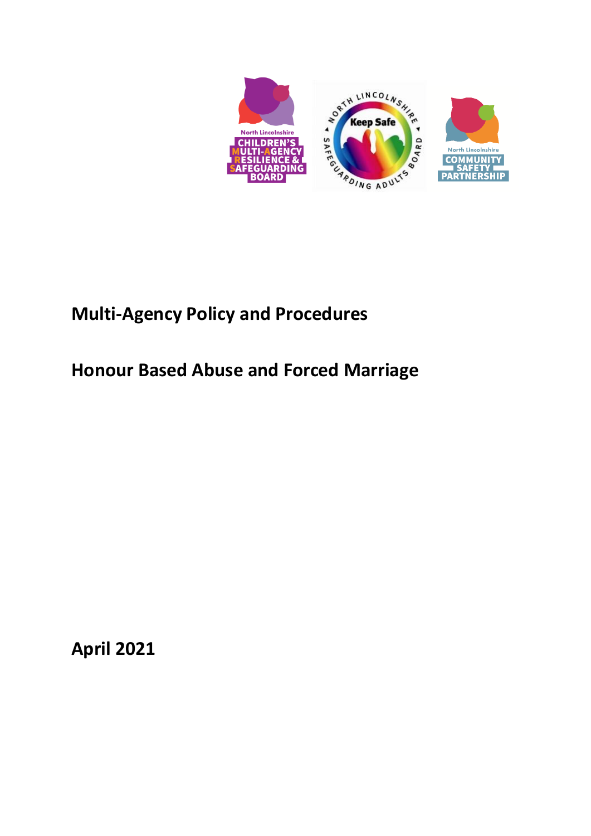

# **Multi-Agency Policy and Procedures**

# **Honour Based Abuse and Forced Marriage**

**April 2021**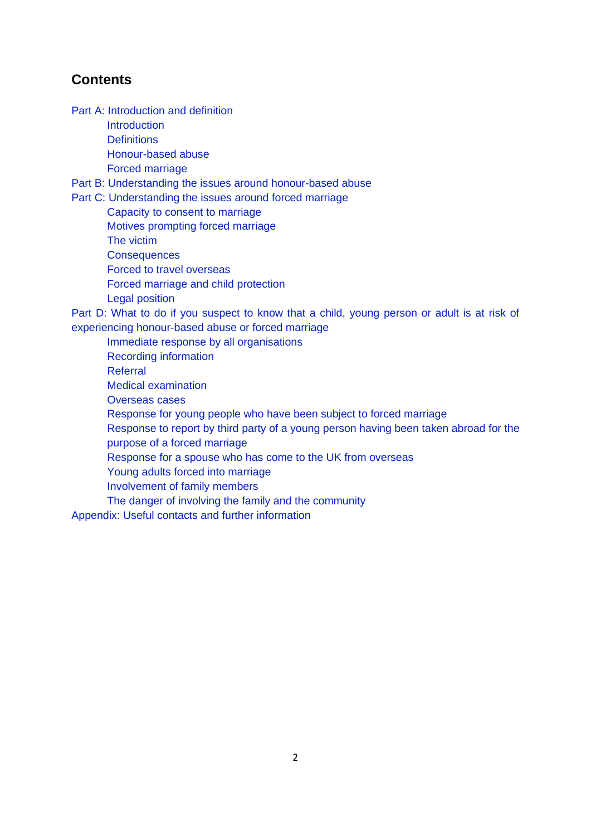# **Contents**

Part A: [Introduction and definition](#page-2-0)

**[Introduction](#page-2-1)** 

**[Definitions](#page-3-0)** 

[Honour-based abuse](#page-11-0)

[Forced marriage](#page-4-0)

Part B: [Understanding the issues around honour-based](#page-4-1) abuse

Part C: [Understanding the issues around forced marriage](#page-6-0)

[Capacity to consent](#page-6-1) to marriage [Motives prompting forced marriage](#page-6-2) [The victim](#page-7-0) **[Consequences](#page-7-1)** [Forced to travel overseas](#page-8-0) [Forced marriage and child protection](#page-10-0) [Legal position](#page-11-1)

Part D: [What to do if you suspect to know that a child, young person or adult is at risk of](#page-12-0)  [experiencing honour-based](#page-12-0) abuse or forced marriage

[Immediate response by all organisations](#page-12-1)

[Recording information](#page-13-0)

[Referral](#page-13-1)

[Medical examination](#page-14-0)

[Overseas cases](#page-14-1)

[Response for young people who have been subject to forced marriage](#page-14-2)

[Response to report by third party of a young person having been taken abroad for the](#page-15-0)  [purpose of a forced marriage](#page-15-0)

[Response for a spouse who has come to the UK from overseas](#page-15-1)

[Young adults forced into marriage](#page-16-0)

[Involvement of family members](#page-16-1)

[The danger of involving the family and the community](#page-16-2)

[Appendix: Useful contacts and further information](#page-18-0)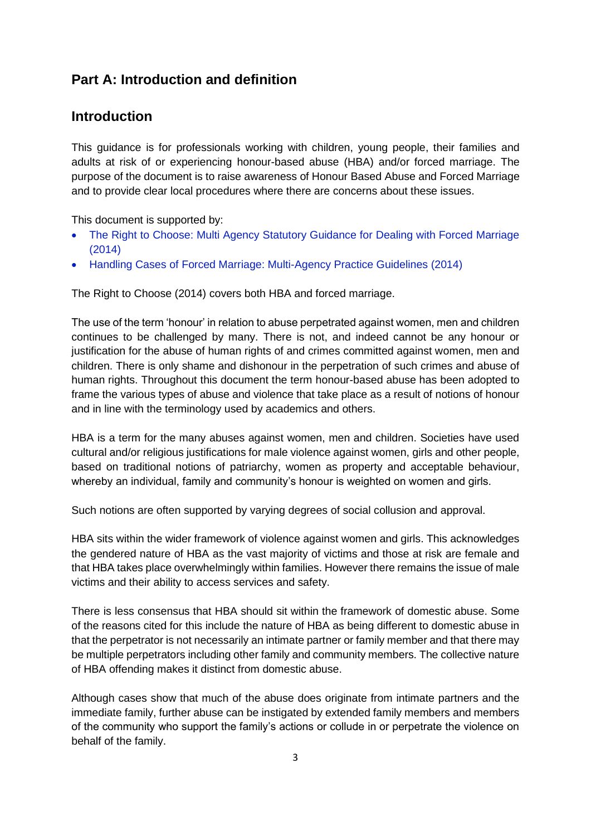# <span id="page-2-0"></span>**Part A: Introduction and definition**

## <span id="page-2-1"></span>**Introduction**

This guidance is for professionals working with children, young people, their families and adults at risk of or experiencing honour-based abuse (HBA) and/or forced marriage. The purpose of the document is to raise awareness of Honour Based Abuse and Forced Marriage and to provide clear local procedures where there are concerns about these issues.

This document is supported by:

- The Right to Choose: Multi Agency Statutory Guidance for Dealing with Forced Marriage [\(2014\)](https://assets.publishing.service.gov.uk/government/uploads/system/uploads/attachment_data/file/322310/HMG_Statutory_Guidance_publication_180614_Final.pdf)
- [Handling Cases of Forced Marriage: Multi-Agency Practice Guidelines \(2014\)](https://assets.publishing.service.gov.uk/government/uploads/system/uploads/attachment_data/file/322307/HMG_MULTI_AGENCY_PRACTICE_GUIDELINES_v1_180614_FINAL.pdf)

The Right to Choose (2014) covers both HBA and forced marriage.

The use of the term 'honour' in relation to abuse perpetrated against women, men and children continues to be challenged by many. There is not, and indeed cannot be any honour or justification for the abuse of human rights of and crimes committed against women, men and children. There is only shame and dishonour in the perpetration of such crimes and abuse of human rights. Throughout this document the term honour-based abuse has been adopted to frame the various types of abuse and violence that take place as a result of notions of honour and in line with the terminology used by academics and others.

HBA is a term for the many abuses against women, men and children. Societies have used cultural and/or religious justifications for male violence against women, girls and other people, based on traditional notions of patriarchy, women as property and acceptable behaviour, whereby an individual, family and community's honour is weighted on women and girls.

Such notions are often supported by varying degrees of social collusion and approval.

HBA sits within the wider framework of violence against women and girls. This acknowledges the gendered nature of HBA as the vast majority of victims and those at risk are female and that HBA takes place overwhelmingly within families. However there remains the issue of male victims and their ability to access services and safety.

There is less consensus that HBA should sit within the framework of domestic abuse. Some of the reasons cited for this include the nature of HBA as being different to domestic abuse in that the perpetrator is not necessarily an intimate partner or family member and that there may be multiple perpetrators including other family and community members. The collective nature of HBA offending makes it distinct from domestic abuse.

Although cases show that much of the abuse does originate from intimate partners and the immediate family, further abuse can be instigated by extended family members and members of the community who support the family's actions or collude in or perpetrate the violence on behalf of the family.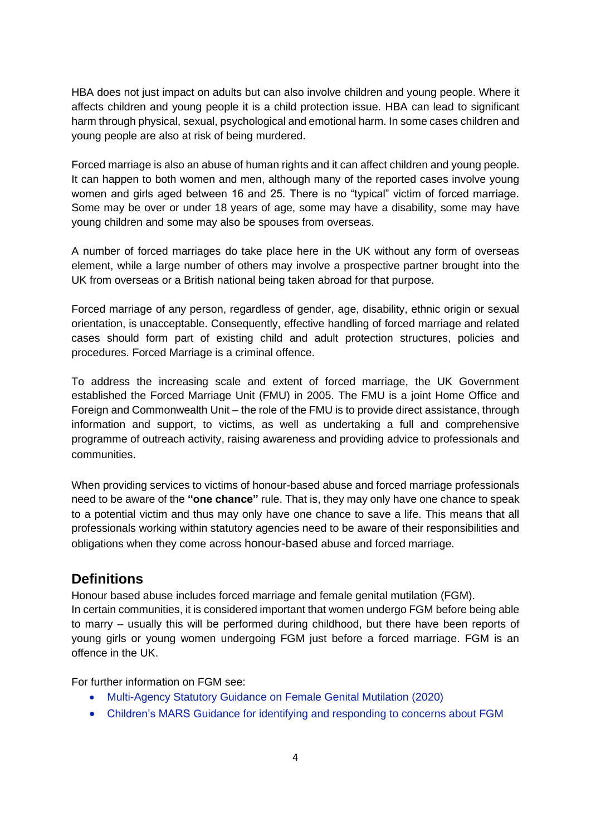HBA does not just impact on adults but can also involve children and young people. Where it affects children and young people it is a child protection issue. HBA can lead to significant harm through physical, sexual, psychological and emotional harm. In some cases children and young people are also at risk of being murdered.

Forced marriage is also an abuse of human rights and it can affect children and young people. It can happen to both women and men, although many of the reported cases involve young women and girls aged between 16 and 25. There is no "typical" victim of forced marriage. Some may be over or under 18 years of age, some may have a disability, some may have young children and some may also be spouses from overseas.

A number of forced marriages do take place here in the UK without any form of overseas element, while a large number of others may involve a prospective partner brought into the UK from overseas or a British national being taken abroad for that purpose.

Forced marriage of any person, regardless of gender, age, disability, ethnic origin or sexual orientation, is unacceptable. Consequently, effective handling of forced marriage and related cases should form part of existing child and adult protection structures, policies and procedures. Forced Marriage is a criminal offence.

To address the increasing scale and extent of forced marriage, the UK Government established the Forced Marriage Unit (FMU) in 2005. The FMU is a joint Home Office and Foreign and Commonwealth Unit – the role of the FMU is to provide direct assistance, through information and support, to victims, as well as undertaking a full and comprehensive programme of outreach activity, raising awareness and providing advice to professionals and communities.

When providing services to victims of honour-based abuse and forced marriage professionals need to be aware of the **"one chance"** rule. That is, they may only have one chance to speak to a potential victim and thus may only have one chance to save a life. This means that all professionals working within statutory agencies need to be aware of their responsibilities and obligations when they come across honour-based abuse and forced marriage.

### <span id="page-3-0"></span>**Definitions**

Honour based abuse includes forced marriage and female genital mutilation (FGM).

In certain communities, it is considered important that women undergo FGM before being able to marry – usually this will be performed during childhood, but there have been reports of young girls or young women undergoing FGM just before a forced marriage. FGM is an offence in the UK.

For further information on FGM see:

- [Multi-Agency Statutory Guidance on Female Genital Mutilation \(2020\)](https://www.gov.uk/government/publications/multi-agency-statutory-guidance-on-female-genital-mutilation)
- Children's MARS [Guidance for identifying and responding to concerns about FGM](http://www.northlincscmars.co.uk/policies-procedures-and-guidance/)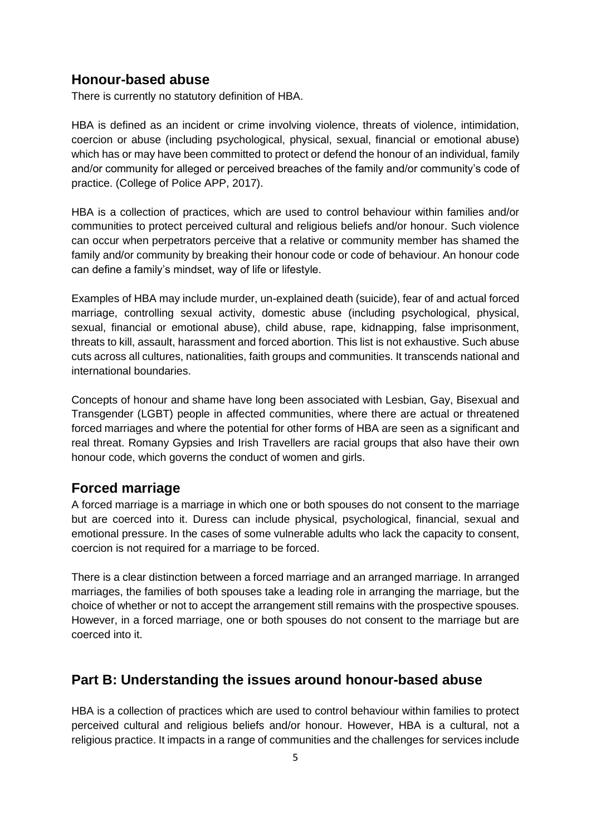#### **Honour-based abuse**

There is currently no statutory definition of HBA.

HBA is defined as an incident or crime involving violence, threats of violence, intimidation, coercion or abuse (including psychological, physical, sexual, financial or emotional abuse) which has or may have been committed to protect or defend the honour of an individual, family and/or community for alleged or perceived breaches of the family and/or community's code of practice. (College of Police APP, 2017).

HBA is a collection of practices, which are used to control behaviour within families and/or communities to protect perceived cultural and religious beliefs and/or honour. Such violence can occur when perpetrators perceive that a relative or community member has shamed the family and/or community by breaking their honour code or code of behaviour. An honour code can define a family's mindset, way of life or lifestyle.

Examples of HBA may include murder, un-explained death (suicide), fear of and actual forced marriage, controlling sexual activity, domestic abuse (including psychological, physical, sexual, financial or emotional abuse), child abuse, rape, kidnapping, false imprisonment, threats to kill, assault, harassment and forced abortion. This list is not exhaustive. Such abuse cuts across all cultures, nationalities, faith groups and communities. It transcends national and international boundaries.

Concepts of honour and shame have long been associated with Lesbian, Gay, Bisexual and Transgender (LGBT) people in affected communities, where there are actual or threatened forced marriages and where the potential for other forms of HBA are seen as a significant and real threat. Romany Gypsies and Irish Travellers are racial groups that also have their own honour code, which governs the conduct of women and girls.

#### <span id="page-4-0"></span>**Forced marriage**

A forced marriage is a marriage in which one or both spouses do not consent to the marriage but are coerced into it. Duress can include physical, psychological, financial, sexual and emotional pressure. In the cases of some vulnerable adults who lack the capacity to consent, coercion is not required for a marriage to be forced.

There is a clear distinction between a forced marriage and an arranged marriage. In arranged marriages, the families of both spouses take a leading role in arranging the marriage, but the choice of whether or not to accept the arrangement still remains with the prospective spouses. However, in a forced marriage, one or both spouses do not consent to the marriage but are coerced into it.

### <span id="page-4-1"></span>**Part B: Understanding the issues around honour-based abuse**

HBA is a collection of practices which are used to control behaviour within families to protect perceived cultural and religious beliefs and/or honour. However, HBA is a cultural, not a religious practice. It impacts in a range of communities and the challenges for services include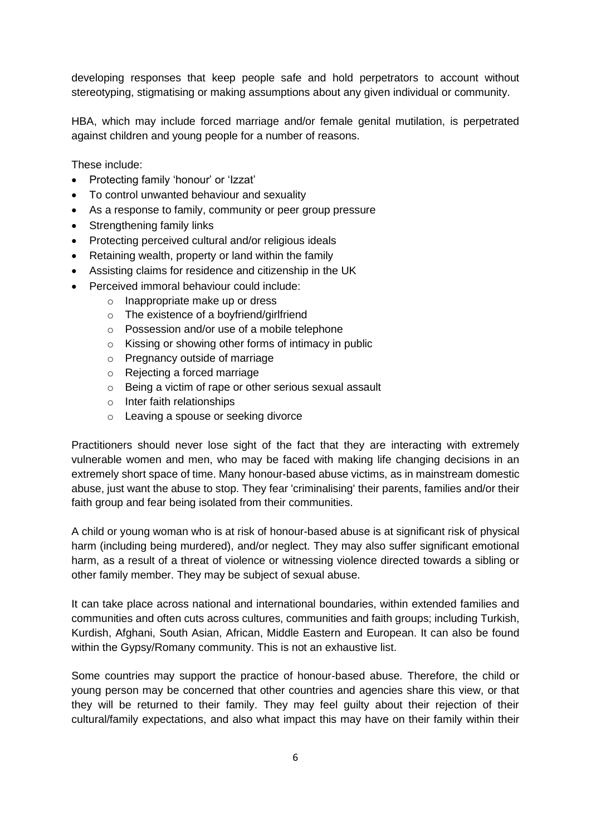developing responses that keep people safe and hold perpetrators to account without stereotyping, stigmatising or making assumptions about any given individual or community.

HBA, which may include forced marriage and/or female genital mutilation, is perpetrated against children and young people for a number of reasons.

These include:

- Protecting family 'honour' or 'Izzat'
- To control unwanted behaviour and sexuality
- As a response to family, community or peer group pressure
- Strengthening family links
- Protecting perceived cultural and/or religious ideals
- Retaining wealth, property or land within the family
- Assisting claims for residence and citizenship in the UK
- Perceived immoral behaviour could include:
	- o Inappropriate make up or dress
	- o The existence of a boyfriend/girlfriend
	- o Possession and/or use of a mobile telephone
	- o Kissing or showing other forms of intimacy in public
	- o Pregnancy outside of marriage
	- o Rejecting a forced marriage
	- o Being a victim of rape or other serious sexual assault
	- o Inter faith relationships
	- o Leaving a spouse or seeking divorce

Practitioners should never lose sight of the fact that they are interacting with extremely vulnerable women and men, who may be faced with making life changing decisions in an extremely short space of time. Many honour-based abuse victims, as in mainstream domestic abuse, just want the abuse to stop. They fear 'criminalising' their parents, families and/or their faith group and fear being isolated from their communities.

A child or young woman who is at risk of honour-based abuse is at significant risk of physical harm (including being murdered), and/or neglect. They may also suffer significant emotional harm, as a result of a threat of violence or witnessing violence directed towards a sibling or other family member. They may be subject of sexual abuse.

It can take place across national and international boundaries, within extended families and communities and often cuts across cultures, communities and faith groups; including Turkish, Kurdish, Afghani, South Asian, African, Middle Eastern and European. It can also be found within the Gypsy/Romany community. This is not an exhaustive list.

Some countries may support the practice of honour-based abuse. Therefore, the child or young person may be concerned that other countries and agencies share this view, or that they will be returned to their family. They may feel guilty about their rejection of their cultural/family expectations, and also what impact this may have on their family within their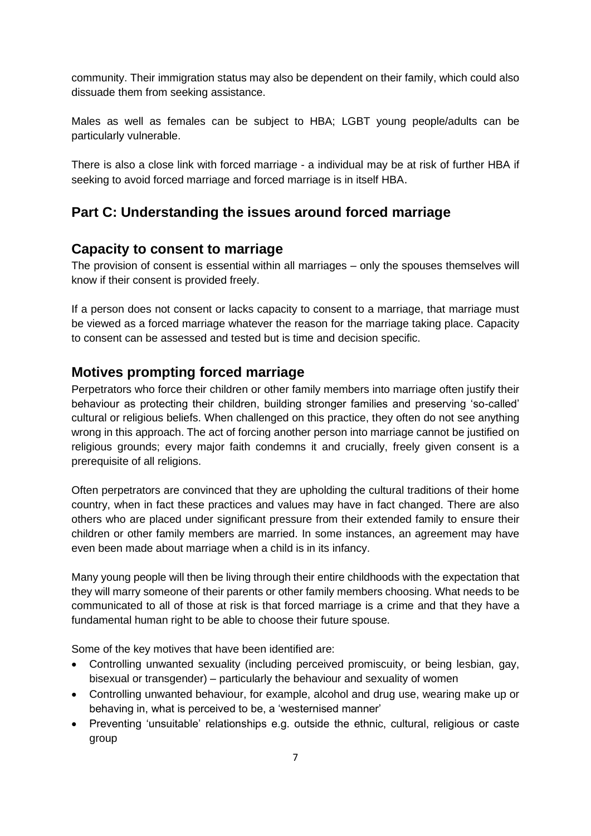community. Their immigration status may also be dependent on their family, which could also dissuade them from seeking assistance.

Males as well as females can be subject to HBA; LGBT young people/adults can be particularly vulnerable.

There is also a close link with forced marriage - a individual may be at risk of further HBA if seeking to avoid forced marriage and forced marriage is in itself HBA.

# <span id="page-6-0"></span>**Part C: Understanding the issues around forced marriage**

# <span id="page-6-1"></span>**Capacity to consent to marriage**

The provision of consent is essential within all marriages – only the spouses themselves will know if their consent is provided freely.

If a person does not consent or lacks capacity to consent to a marriage, that marriage must be viewed as a forced marriage whatever the reason for the marriage taking place. Capacity to consent can be assessed and tested but is time and decision specific.

## <span id="page-6-2"></span>**Motives prompting forced marriage**

Perpetrators who force their children or other family members into marriage often justify their behaviour as protecting their children, building stronger families and preserving 'so-called' cultural or religious beliefs. When challenged on this practice, they often do not see anything wrong in this approach. The act of forcing another person into marriage cannot be justified on religious grounds; every major faith condemns it and crucially, freely given consent is a prerequisite of all religions.

Often perpetrators are convinced that they are upholding the cultural traditions of their home country, when in fact these practices and values may have in fact changed. There are also others who are placed under significant pressure from their extended family to ensure their children or other family members are married. In some instances, an agreement may have even been made about marriage when a child is in its infancy.

Many young people will then be living through their entire childhoods with the expectation that they will marry someone of their parents or other family members choosing. What needs to be communicated to all of those at risk is that forced marriage is a crime and that they have a fundamental human right to be able to choose their future spouse.

Some of the key motives that have been identified are:

- Controlling unwanted sexuality (including perceived promiscuity, or being lesbian, gay, bisexual or transgender) – particularly the behaviour and sexuality of women
- Controlling unwanted behaviour, for example, alcohol and drug use, wearing make up or behaving in, what is perceived to be, a 'westernised manner'
- Preventing 'unsuitable' relationships e.g. outside the ethnic, cultural, religious or caste group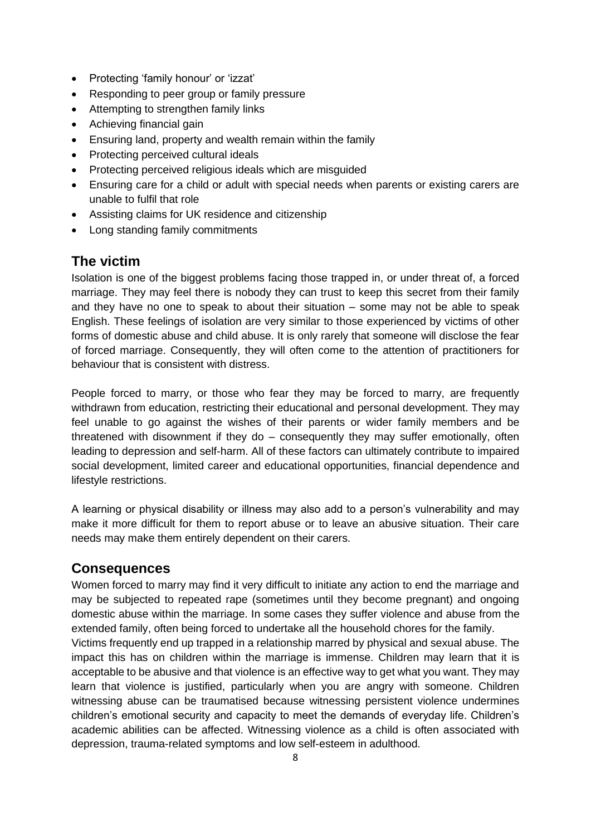- Protecting 'family honour' or 'izzat'
- Responding to peer group or family pressure
- Attempting to strengthen family links
- Achieving financial gain
- Ensuring land, property and wealth remain within the family
- Protecting perceived cultural ideals
- Protecting perceived religious ideals which are misguided
- Ensuring care for a child or adult with special needs when parents or existing carers are unable to fulfil that role
- Assisting claims for UK residence and citizenship
- Long standing family commitments

## <span id="page-7-0"></span>**The victim**

Isolation is one of the biggest problems facing those trapped in, or under threat of, a forced marriage. They may feel there is nobody they can trust to keep this secret from their family and they have no one to speak to about their situation – some may not be able to speak English. These feelings of isolation are very similar to those experienced by victims of other forms of domestic abuse and child abuse. It is only rarely that someone will disclose the fear of forced marriage. Consequently, they will often come to the attention of practitioners for behaviour that is consistent with distress.

People forced to marry, or those who fear they may be forced to marry, are frequently withdrawn from education, restricting their educational and personal development. They may feel unable to go against the wishes of their parents or wider family members and be threatened with disownment if they do – consequently they may suffer emotionally, often leading to depression and self-harm. All of these factors can ultimately contribute to impaired social development, limited career and educational opportunities, financial dependence and lifestyle restrictions.

A learning or physical disability or illness may also add to a person's vulnerability and may make it more difficult for them to report abuse or to leave an abusive situation. Their care needs may make them entirely dependent on their carers.

### <span id="page-7-1"></span>**Consequences**

Women forced to marry may find it very difficult to initiate any action to end the marriage and may be subjected to repeated rape (sometimes until they become pregnant) and ongoing domestic abuse within the marriage. In some cases they suffer violence and abuse from the extended family, often being forced to undertake all the household chores for the family. Victims frequently end up trapped in a relationship marred by physical and sexual abuse. The impact this has on children within the marriage is immense. Children may learn that it is acceptable to be abusive and that violence is an effective way to get what you want. They may learn that violence is justified, particularly when you are angry with someone. Children witnessing abuse can be traumatised because witnessing persistent violence undermines children's emotional security and capacity to meet the demands of everyday life. Children's academic abilities can be affected. Witnessing violence as a child is often associated with depression, trauma-related symptoms and low self-esteem in adulthood.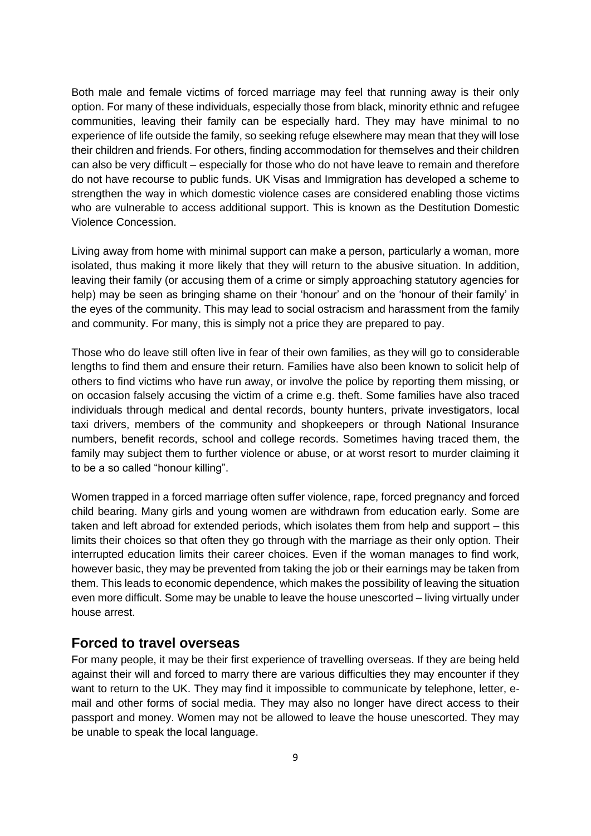Both male and female victims of forced marriage may feel that running away is their only option. For many of these individuals, especially those from black, minority ethnic and refugee communities, leaving their family can be especially hard. They may have minimal to no experience of life outside the family, so seeking refuge elsewhere may mean that they will lose their children and friends. For others, finding accommodation for themselves and their children can also be very difficult – especially for those who do not have leave to remain and therefore do not have recourse to public funds. UK Visas and Immigration has developed a scheme to strengthen the way in which domestic violence cases are considered enabling those victims who are vulnerable to access additional support. This is known as the Destitution Domestic Violence Concession.

Living away from home with minimal support can make a person, particularly a woman, more isolated, thus making it more likely that they will return to the abusive situation. In addition, leaving their family (or accusing them of a crime or simply approaching statutory agencies for help) may be seen as bringing shame on their 'honour' and on the 'honour of their family' in the eyes of the community. This may lead to social ostracism and harassment from the family and community. For many, this is simply not a price they are prepared to pay.

Those who do leave still often live in fear of their own families, as they will go to considerable lengths to find them and ensure their return. Families have also been known to solicit help of others to find victims who have run away, or involve the police by reporting them missing, or on occasion falsely accusing the victim of a crime e.g. theft. Some families have also traced individuals through medical and dental records, bounty hunters, private investigators, local taxi drivers, members of the community and shopkeepers or through National Insurance numbers, benefit records, school and college records. Sometimes having traced them, the family may subject them to further violence or abuse, or at worst resort to murder claiming it to be a so called "honour killing".

Women trapped in a forced marriage often suffer violence, rape, forced pregnancy and forced child bearing. Many girls and young women are withdrawn from education early. Some are taken and left abroad for extended periods, which isolates them from help and support – this limits their choices so that often they go through with the marriage as their only option. Their interrupted education limits their career choices. Even if the woman manages to find work, however basic, they may be prevented from taking the job or their earnings may be taken from them. This leads to economic dependence, which makes the possibility of leaving the situation even more difficult. Some may be unable to leave the house unescorted – living virtually under house arrest.

#### <span id="page-8-0"></span>**Forced to travel overseas**

For many people, it may be their first experience of travelling overseas. If they are being held against their will and forced to marry there are various difficulties they may encounter if they want to return to the UK. They may find it impossible to communicate by telephone, letter, email and other forms of social media. They may also no longer have direct access to their passport and money. Women may not be allowed to leave the house unescorted. They may be unable to speak the local language.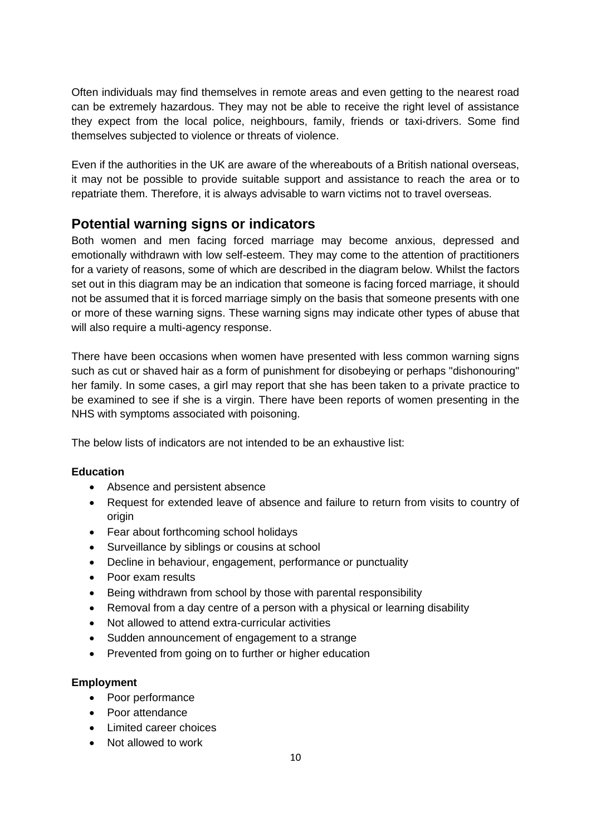Often individuals may find themselves in remote areas and even getting to the nearest road can be extremely hazardous. They may not be able to receive the right level of assistance they expect from the local police, neighbours, family, friends or taxi-drivers. Some find themselves subjected to violence or threats of violence.

Even if the authorities in the UK are aware of the whereabouts of a British national overseas, it may not be possible to provide suitable support and assistance to reach the area or to repatriate them. Therefore, it is always advisable to warn victims not to travel overseas.

# **Potential warning signs or indicators**

Both women and men facing forced marriage may become anxious, depressed and emotionally withdrawn with low self-esteem. They may come to the attention of practitioners for a variety of reasons, some of which are described in the diagram below. Whilst the factors set out in this diagram may be an indication that someone is facing forced marriage, it should not be assumed that it is forced marriage simply on the basis that someone presents with one or more of these warning signs. These warning signs may indicate other types of abuse that will also require a multi-agency response.

There have been occasions when women have presented with less common warning signs such as cut or shaved hair as a form of punishment for disobeying or perhaps "dishonouring" her family. In some cases, a girl may report that she has been taken to a private practice to be examined to see if she is a virgin. There have been reports of women presenting in the NHS with symptoms associated with poisoning.

The below lists of indicators are not intended to be an exhaustive list:

#### **Education**

- Absence and persistent absence
- Request for extended leave of absence and failure to return from visits to country of origin
- Fear about forthcoming school holidays
- Surveillance by siblings or cousins at school
- Decline in behaviour, engagement, performance or punctuality
- Poor exam results
- Being withdrawn from school by those with parental responsibility
- Removal from a day centre of a person with a physical or learning disability
- Not allowed to attend extra-curricular activities
- Sudden announcement of engagement to a strange
- Prevented from going on to further or higher education

#### **Employment**

- Poor performance
- Poor attendance
- Limited career choices
- Not allowed to work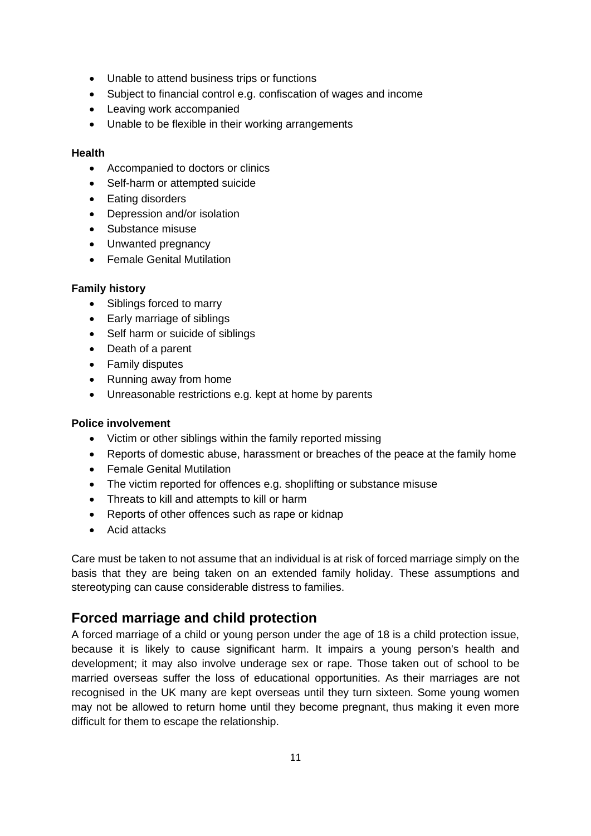- Unable to attend business trips or functions
- Subject to financial control e.g. confiscation of wages and income
- Leaving work accompanied
- Unable to be flexible in their working arrangements

#### **Health**

- Accompanied to doctors or clinics
- Self-harm or attempted suicide
- Eating disorders
- Depression and/or isolation
- Substance misuse
- Unwanted pregnancy
- Female Genital Mutilation

#### **Family history**

- Siblings forced to marry
- Early marriage of siblings
- Self harm or suicide of siblings
- Death of a parent
- Family disputes
- Running away from home
- Unreasonable restrictions e.g. kept at home by parents

#### **Police involvement**

- Victim or other siblings within the family reported missing
- Reports of domestic abuse, harassment or breaches of the peace at the family home
- Female Genital Mutilation
- The victim reported for offences e.g. shoplifting or substance misuse
- Threats to kill and attempts to kill or harm
- Reports of other offences such as rape or kidnap
- Acid attacks

Care must be taken to not assume that an individual is at risk of forced marriage simply on the basis that they are being taken on an extended family holiday. These assumptions and stereotyping can cause considerable distress to families.

# <span id="page-10-0"></span>**Forced marriage and child protection**

A forced marriage of a child or young person under the age of 18 is a child protection issue, because it is likely to cause significant harm. It impairs a young person's health and development; it may also involve underage sex or rape. Those taken out of school to be married overseas suffer the loss of educational opportunities. As their marriages are not recognised in the UK many are kept overseas until they turn sixteen. Some young women may not be allowed to return home until they become pregnant, thus making it even more difficult for them to escape the relationship.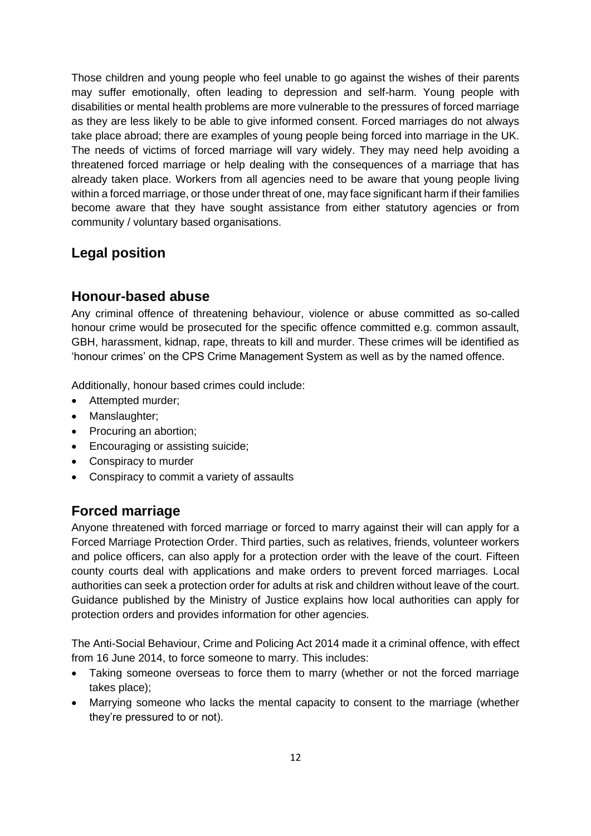Those children and young people who feel unable to go against the wishes of their parents may suffer emotionally, often leading to depression and self-harm. Young people with disabilities or mental health problems are more vulnerable to the pressures of forced marriage as they are less likely to be able to give informed consent. Forced marriages do not always take place abroad; there are examples of young people being forced into marriage in the UK. The needs of victims of forced marriage will vary widely. They may need help avoiding a threatened forced marriage or help dealing with the consequences of a marriage that has already taken place. Workers from all agencies need to be aware that young people living within a forced marriage, or those under threat of one, may face significant harm if their families become aware that they have sought assistance from either statutory agencies or from community / voluntary based organisations.

# <span id="page-11-1"></span>**Legal position**

### <span id="page-11-0"></span>**Honour-based abuse**

Any criminal offence of threatening behaviour, violence or abuse committed as so-called honour crime would be prosecuted for the specific offence committed e.g. common assault, GBH, harassment, kidnap, rape, threats to kill and murder. These crimes will be identified as 'honour crimes' on the CPS Crime Management System as well as by the named offence.

Additionally, honour based crimes could include:

- Attempted murder;
- Manslaughter;
- Procuring an abortion;
- Encouraging or assisting suicide;
- Conspiracy to murder
- Conspiracy to commit a variety of assaults

# **Forced marriage**

Anyone threatened with forced marriage or forced to marry against their will can apply for a Forced Marriage Protection Order. Third parties, such as relatives, friends, volunteer workers and police officers, can also apply for a protection order with the leave of the court. Fifteen county courts deal with applications and make orders to prevent forced marriages. Local authorities can seek a protection order for adults at risk and children without leave of the court. Guidance published by the Ministry of Justice explains how local authorities can apply for protection orders and provides information for other agencies.

The Anti-Social Behaviour, Crime and Policing Act 2014 made it a criminal offence, with effect from 16 June 2014, to force someone to marry. This includes:

- Taking someone overseas to force them to marry (whether or not the forced marriage takes place);
- Marrying someone who lacks the mental capacity to consent to the marriage (whether they're pressured to or not).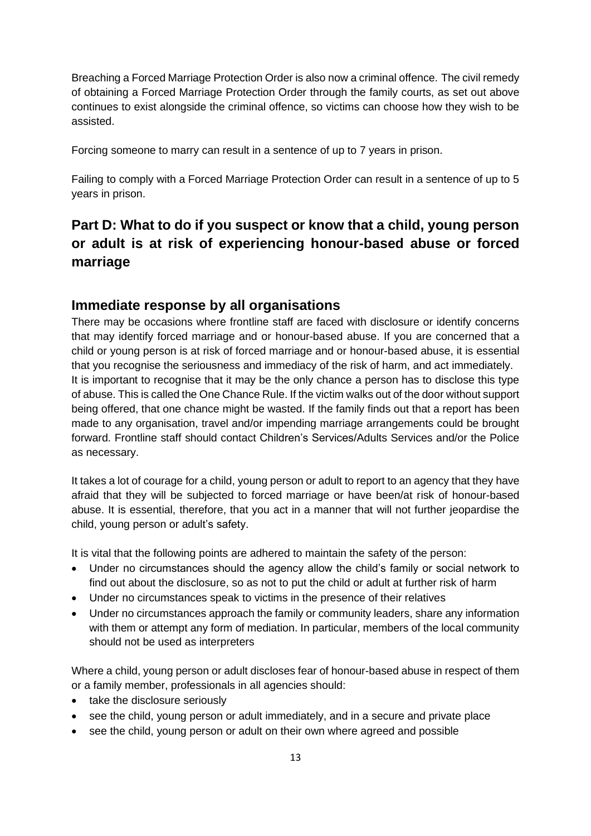Breaching a Forced Marriage Protection Order is also now a criminal offence. The civil remedy of obtaining a Forced Marriage Protection Order through the family courts, as set out above continues to exist alongside the criminal offence, so victims can choose how they wish to be assisted.

Forcing someone to marry can result in a sentence of up to 7 years in prison.

Failing to comply with a Forced Marriage Protection Order can result in a sentence of up to 5 years in prison.

# <span id="page-12-0"></span>**Part D: What to do if you suspect or know that a child, young person or adult is at risk of experiencing honour-based abuse or forced marriage**

#### <span id="page-12-1"></span>**Immediate response by all organisations**

There may be occasions where frontline staff are faced with disclosure or identify concerns that may identify forced marriage and or honour-based abuse. If you are concerned that a child or young person is at risk of forced marriage and or honour-based abuse, it is essential that you recognise the seriousness and immediacy of the risk of harm, and act immediately. It is important to recognise that it may be the only chance a person has to disclose this type of abuse. This is called the One Chance Rule. If the victim walks out of the door without support being offered, that one chance might be wasted. If the family finds out that a report has been made to any organisation, travel and/or impending marriage arrangements could be brought forward. Frontline staff should contact Children's Services/Adults Services and/or the Police as necessary.

It takes a lot of courage for a child, young person or adult to report to an agency that they have afraid that they will be subjected to forced marriage or have been/at risk of honour-based abuse. It is essential, therefore, that you act in a manner that will not further jeopardise the child, young person or adult's safety.

It is vital that the following points are adhered to maintain the safety of the person:

- Under no circumstances should the agency allow the child's family or social network to find out about the disclosure, so as not to put the child or adult at further risk of harm
- Under no circumstances speak to victims in the presence of their relatives
- Under no circumstances approach the family or community leaders, share any information with them or attempt any form of mediation. In particular, members of the local community should not be used as interpreters

Where a child, young person or adult discloses fear of honour-based abuse in respect of them or a family member, professionals in all agencies should:

- take the disclosure seriously
- see the child, young person or adult immediately, and in a secure and private place
- see the child, young person or adult on their own where agreed and possible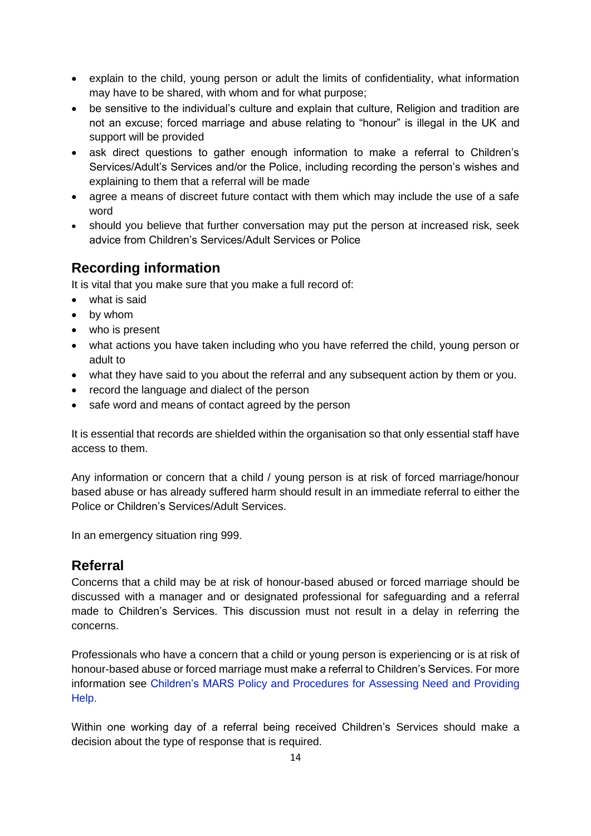- explain to the child, young person or adult the limits of confidentiality, what information may have to be shared, with whom and for what purpose;
- be sensitive to the individual's culture and explain that culture, Religion and tradition are not an excuse; forced marriage and abuse relating to "honour" is illegal in the UK and support will be provided
- ask direct questions to gather enough information to make a referral to Children's Services/Adult's Services and/or the Police, including recording the person's wishes and explaining to them that a referral will be made
- agree a means of discreet future contact with them which may include the use of a safe word
- should you believe that further conversation may put the person at increased risk, seek advice from Children's Services/Adult Services or Police

# <span id="page-13-0"></span>**Recording information**

It is vital that you make sure that you make a full record of:

- what is said
- by whom
- who is present
- what actions you have taken including who you have referred the child, young person or adult to
- what they have said to you about the referral and any subsequent action by them or you.
- record the language and dialect of the person
- safe word and means of contact agreed by the person

It is essential that records are shielded within the organisation so that only essential staff have access to them.

Any information or concern that a child / young person is at risk of forced marriage/honour based abuse or has already suffered harm should result in an immediate referral to either the Police or Children's Services/Adult Services.

In an emergency situation ring 999.

# <span id="page-13-1"></span>**Referral**

Concerns that a child may be at risk of honour-based abused or forced marriage should be discussed with a manager and or designated professional for safeguarding and a referral made to Children's Services. This discussion must not result in a delay in referring the concerns.

Professionals who have a concern that a child or young person is experiencing or is at risk of honour-based abuse or forced marriage must make a referral to Children's Services. For more information see Children's MARS [Policy and Procedures for Assessing Need and Providing](http://www.northlincscmars.co.uk/policies-procedures-and-guidance/)  [Help.](http://www.northlincscmars.co.uk/policies-procedures-and-guidance/)

Within one working day of a referral being received Children's Services should make a decision about the type of response that is required.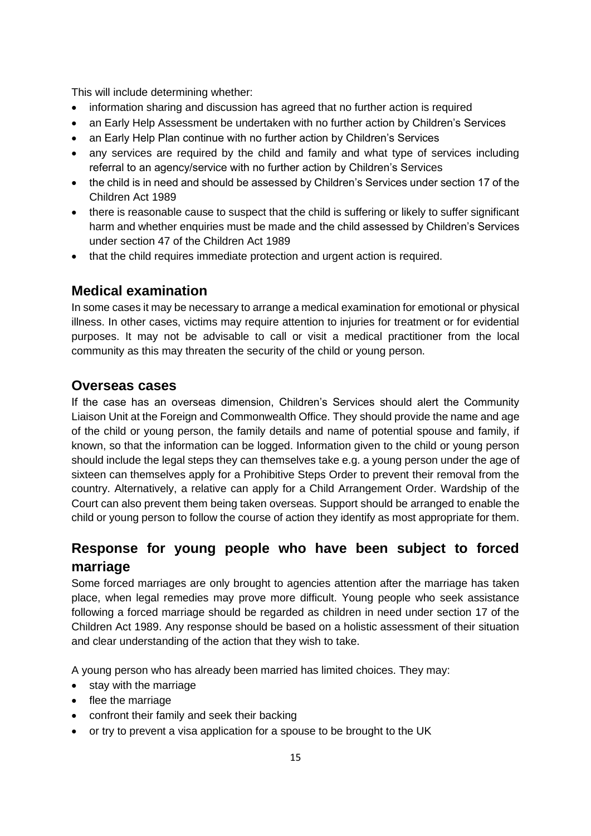This will include determining whether:

- information sharing and discussion has agreed that no further action is required
- an Early Help Assessment be undertaken with no further action by Children's Services
- an Early Help Plan continue with no further action by Children's Services
- any services are required by the child and family and what type of services including referral to an agency/service with no further action by Children's Services
- the child is in need and should be assessed by Children's Services under section 17 of the Children Act 1989
- there is reasonable cause to suspect that the child is suffering or likely to suffer significant harm and whether enquiries must be made and the child assessed by Children's Services under section 47 of the Children Act 1989
- that the child requires immediate protection and urgent action is required.

# <span id="page-14-0"></span>**Medical examination**

In some cases it may be necessary to arrange a medical examination for emotional or physical illness. In other cases, victims may require attention to injuries for treatment or for evidential purposes. It may not be advisable to call or visit a medical practitioner from the local community as this may threaten the security of the child or young person.

### <span id="page-14-1"></span>**Overseas cases**

If the case has an overseas dimension, Children's Services should alert the Community Liaison Unit at the Foreign and Commonwealth Office. They should provide the name and age of the child or young person, the family details and name of potential spouse and family, if known, so that the information can be logged. Information given to the child or young person should include the legal steps they can themselves take e.g. a young person under the age of sixteen can themselves apply for a Prohibitive Steps Order to prevent their removal from the country. Alternatively, a relative can apply for a Child Arrangement Order. Wardship of the Court can also prevent them being taken overseas. Support should be arranged to enable the child or young person to follow the course of action they identify as most appropriate for them.

# <span id="page-14-2"></span>**Response for young people who have been subject to forced marriage**

Some forced marriages are only brought to agencies attention after the marriage has taken place, when legal remedies may prove more difficult. Young people who seek assistance following a forced marriage should be regarded as children in need under section 17 of the Children Act 1989. Any response should be based on a holistic assessment of their situation and clear understanding of the action that they wish to take.

A young person who has already been married has limited choices. They may:

- stay with the marriage
- flee the marriage
- confront their family and seek their backing
- or try to prevent a visa application for a spouse to be brought to the UK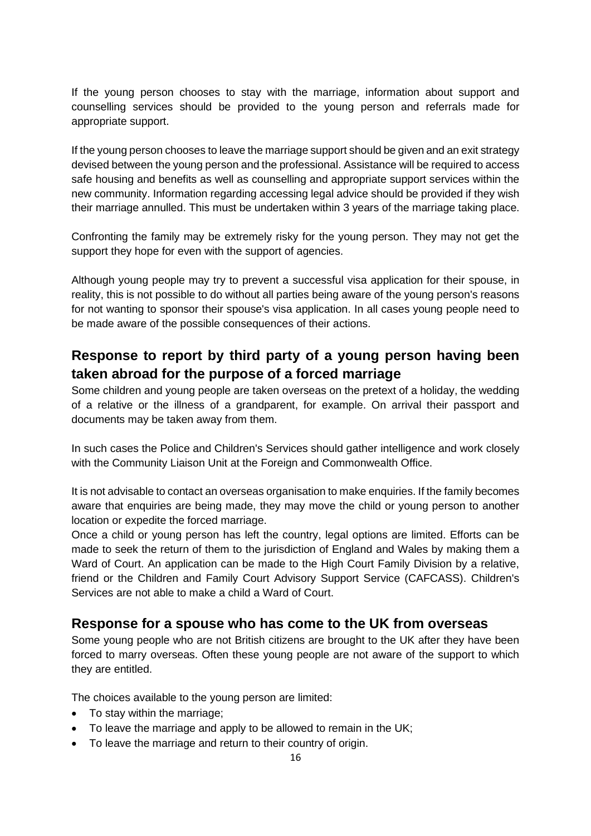If the young person chooses to stay with the marriage, information about support and counselling services should be provided to the young person and referrals made for appropriate support.

If the young person chooses to leave the marriage support should be given and an exit strategy devised between the young person and the professional. Assistance will be required to access safe housing and benefits as well as counselling and appropriate support services within the new community. Information regarding accessing legal advice should be provided if they wish their marriage annulled. This must be undertaken within 3 years of the marriage taking place.

Confronting the family may be extremely risky for the young person. They may not get the support they hope for even with the support of agencies.

Although young people may try to prevent a successful visa application for their spouse, in reality, this is not possible to do without all parties being aware of the young person's reasons for not wanting to sponsor their spouse's visa application. In all cases young people need to be made aware of the possible consequences of their actions.

# <span id="page-15-0"></span>**Response to report by third party of a young person having been taken abroad for the purpose of a forced marriage**

Some children and young people are taken overseas on the pretext of a holiday, the wedding of a relative or the illness of a grandparent, for example. On arrival their passport and documents may be taken away from them.

In such cases the Police and Children's Services should gather intelligence and work closely with the Community Liaison Unit at the Foreign and Commonwealth Office.

It is not advisable to contact an overseas organisation to make enquiries. If the family becomes aware that enquiries are being made, they may move the child or young person to another location or expedite the forced marriage.

Once a child or young person has left the country, legal options are limited. Efforts can be made to seek the return of them to the jurisdiction of England and Wales by making them a Ward of Court. An application can be made to the High Court Family Division by a relative, friend or the Children and Family Court Advisory Support Service (CAFCASS). Children's Services are not able to make a child a Ward of Court.

#### <span id="page-15-1"></span>**Response for a spouse who has come to the UK from overseas**

Some young people who are not British citizens are brought to the UK after they have been forced to marry overseas. Often these young people are not aware of the support to which they are entitled.

The choices available to the young person are limited:

- To stay within the marriage;
- To leave the marriage and apply to be allowed to remain in the UK;
- To leave the marriage and return to their country of origin.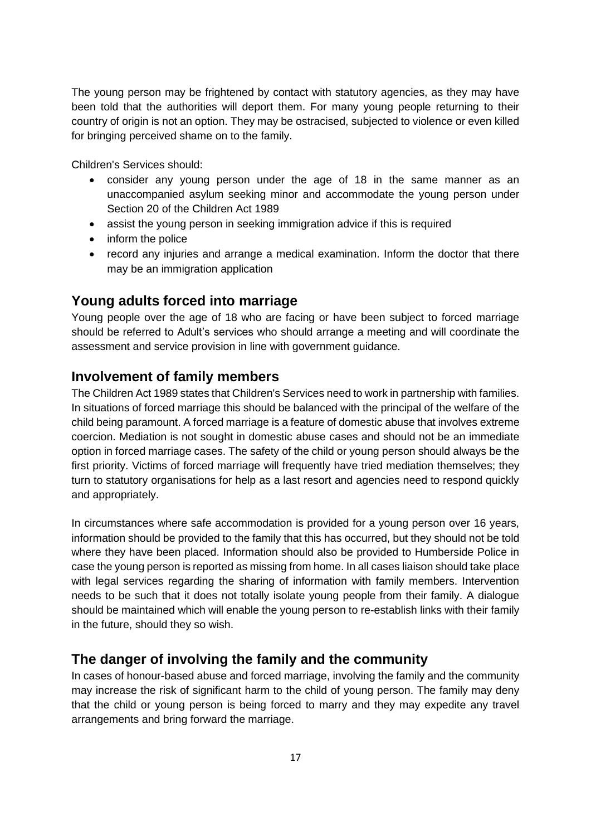The young person may be frightened by contact with statutory agencies, as they may have been told that the authorities will deport them. For many young people returning to their country of origin is not an option. They may be ostracised, subjected to violence or even killed for bringing perceived shame on to the family.

Children's Services should:

- consider any young person under the age of 18 in the same manner as an unaccompanied asylum seeking minor and accommodate the young person under Section 20 of the Children Act 1989
- assist the young person in seeking immigration advice if this is required
- inform the police
- record any injuries and arrange a medical examination. Inform the doctor that there may be an immigration application

#### <span id="page-16-0"></span>**Young adults forced into marriage**

Young people over the age of 18 who are facing or have been subject to forced marriage should be referred to Adult's services who should arrange a meeting and will coordinate the assessment and service provision in line with government guidance.

#### <span id="page-16-1"></span>**Involvement of family members**

The Children Act 1989 states that Children's Services need to work in partnership with families. In situations of forced marriage this should be balanced with the principal of the welfare of the child being paramount. A forced marriage is a feature of domestic abuse that involves extreme coercion. Mediation is not sought in domestic abuse cases and should not be an immediate option in forced marriage cases. The safety of the child or young person should always be the first priority. Victims of forced marriage will frequently have tried mediation themselves; they turn to statutory organisations for help as a last resort and agencies need to respond quickly and appropriately.

In circumstances where safe accommodation is provided for a young person over 16 years, information should be provided to the family that this has occurred, but they should not be told where they have been placed. Information should also be provided to Humberside Police in case the young person is reported as missing from home. In all cases liaison should take place with legal services regarding the sharing of information with family members. Intervention needs to be such that it does not totally isolate young people from their family. A dialogue should be maintained which will enable the young person to re-establish links with their family in the future, should they so wish.

#### <span id="page-16-2"></span>**The danger of involving the family and the community**

In cases of honour-based abuse and forced marriage, involving the family and the community may increase the risk of significant harm to the child of young person. The family may deny that the child or young person is being forced to marry and they may expedite any travel arrangements and bring forward the marriage.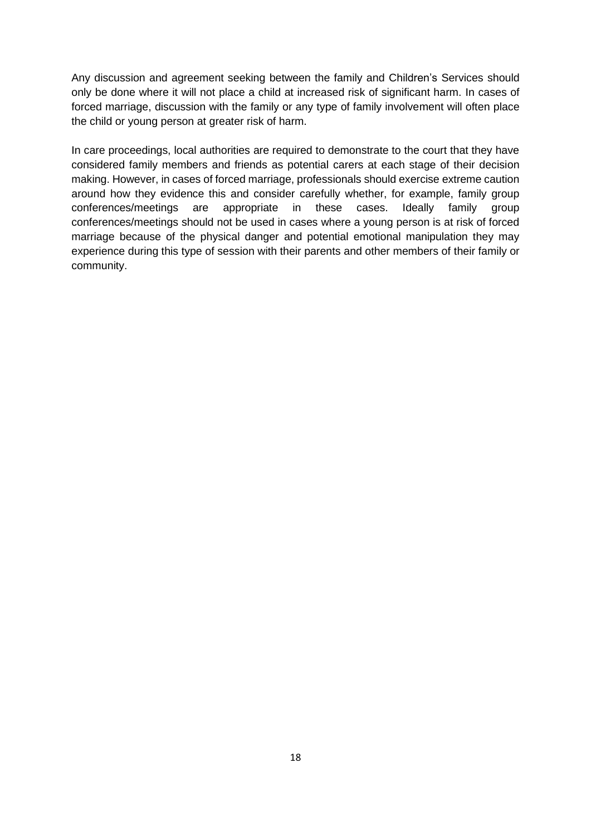Any discussion and agreement seeking between the family and Children's Services should only be done where it will not place a child at increased risk of significant harm. In cases of forced marriage, discussion with the family or any type of family involvement will often place the child or young person at greater risk of harm.

In care proceedings, local authorities are required to demonstrate to the court that they have considered family members and friends as potential carers at each stage of their decision making. However, in cases of forced marriage, professionals should exercise extreme caution around how they evidence this and consider carefully whether, for example, family group conferences/meetings are appropriate in these cases. Ideally family group conferences/meetings should not be used in cases where a young person is at risk of forced marriage because of the physical danger and potential emotional manipulation they may experience during this type of session with their parents and other members of their family or community.